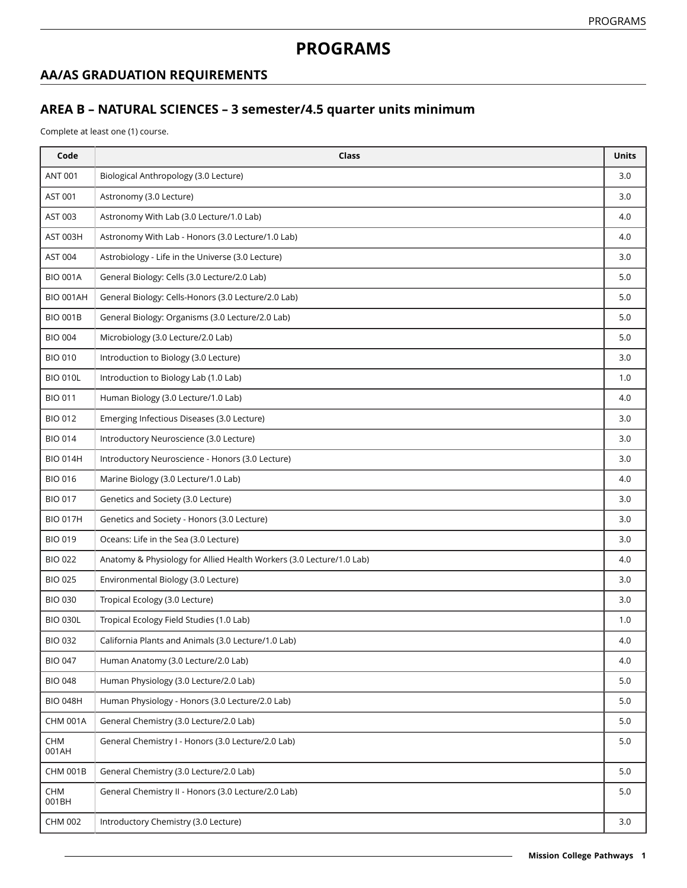# **PROGRAMS**

#### **AA/AS GRADUATION REQUIREMENTS**

## **AREA B – NATURAL SCIENCES – 3 semester/4.5 quarter units minimum**

Complete at least one (1) course.

| Code             | <b>Class</b>                                                         | <b>Units</b> |
|------------------|----------------------------------------------------------------------|--------------|
| <b>ANT 001</b>   | Biological Anthropology (3.0 Lecture)                                | 3.0          |
| AST 001          | Astronomy (3.0 Lecture)                                              | 3.0          |
| AST 003          | Astronomy With Lab (3.0 Lecture/1.0 Lab)                             | 4.0          |
| AST 003H         | Astronomy With Lab - Honors (3.0 Lecture/1.0 Lab)                    | 4.0          |
| AST 004          | Astrobiology - Life in the Universe (3.0 Lecture)                    | 3.0          |
| <b>BIO 001A</b>  | General Biology: Cells (3.0 Lecture/2.0 Lab)                         | 5.0          |
| <b>BIO 001AH</b> | General Biology: Cells-Honors (3.0 Lecture/2.0 Lab)                  | 5.0          |
| <b>BIO 001B</b>  | General Biology: Organisms (3.0 Lecture/2.0 Lab)                     | 5.0          |
| <b>BIO 004</b>   | Microbiology (3.0 Lecture/2.0 Lab)                                   | 5.0          |
| <b>BIO 010</b>   | Introduction to Biology (3.0 Lecture)                                | 3.0          |
| <b>BIO 010L</b>  | Introduction to Biology Lab (1.0 Lab)                                | 1.0          |
| <b>BIO 011</b>   | Human Biology (3.0 Lecture/1.0 Lab)                                  | 4.0          |
| <b>BIO 012</b>   | Emerging Infectious Diseases (3.0 Lecture)                           | 3.0          |
| <b>BIO 014</b>   | Introductory Neuroscience (3.0 Lecture)                              | 3.0          |
| <b>BIO 014H</b>  | Introductory Neuroscience - Honors (3.0 Lecture)                     | 3.0          |
| <b>BIO 016</b>   | Marine Biology (3.0 Lecture/1.0 Lab)                                 | 4.0          |
| <b>BIO 017</b>   | Genetics and Society (3.0 Lecture)                                   | 3.0          |
| <b>BIO 017H</b>  | Genetics and Society - Honors (3.0 Lecture)                          | 3.0          |
| <b>BIO 019</b>   | Oceans: Life in the Sea (3.0 Lecture)                                | 3.0          |
| <b>BIO 022</b>   | Anatomy & Physiology for Allied Health Workers (3.0 Lecture/1.0 Lab) | 4.0          |
| <b>BIO 025</b>   | Environmental Biology (3.0 Lecture)                                  | 3.0          |
| <b>BIO 030</b>   | Tropical Ecology (3.0 Lecture)                                       | 3.0          |
| <b>BIO 030L</b>  | Tropical Ecology Field Studies (1.0 Lab)                             | 1.0          |
| <b>BIO 032</b>   | California Plants and Animals (3.0 Lecture/1.0 Lab)                  | 4.0          |
| <b>BIO 047</b>   | Human Anatomy (3.0 Lecture/2.0 Lab)                                  | 4.0          |
| <b>BIO 048</b>   | Human Physiology (3.0 Lecture/2.0 Lab)                               | 5.0          |
| <b>BIO 048H</b>  | Human Physiology - Honors (3.0 Lecture/2.0 Lab)                      | 5.0          |
| <b>CHM 001A</b>  | General Chemistry (3.0 Lecture/2.0 Lab)                              | 5.0          |
| CHM<br>001AH     | General Chemistry I - Honors (3.0 Lecture/2.0 Lab)                   | 5.0          |
| <b>CHM 001B</b>  | General Chemistry (3.0 Lecture/2.0 Lab)                              | 5.0          |
| CHM<br>001BH     | General Chemistry II - Honors (3.0 Lecture/2.0 Lab)                  | 5.0          |
| CHM 002          | Introductory Chemistry (3.0 Lecture)                                 | 3.0          |
|                  |                                                                      |              |